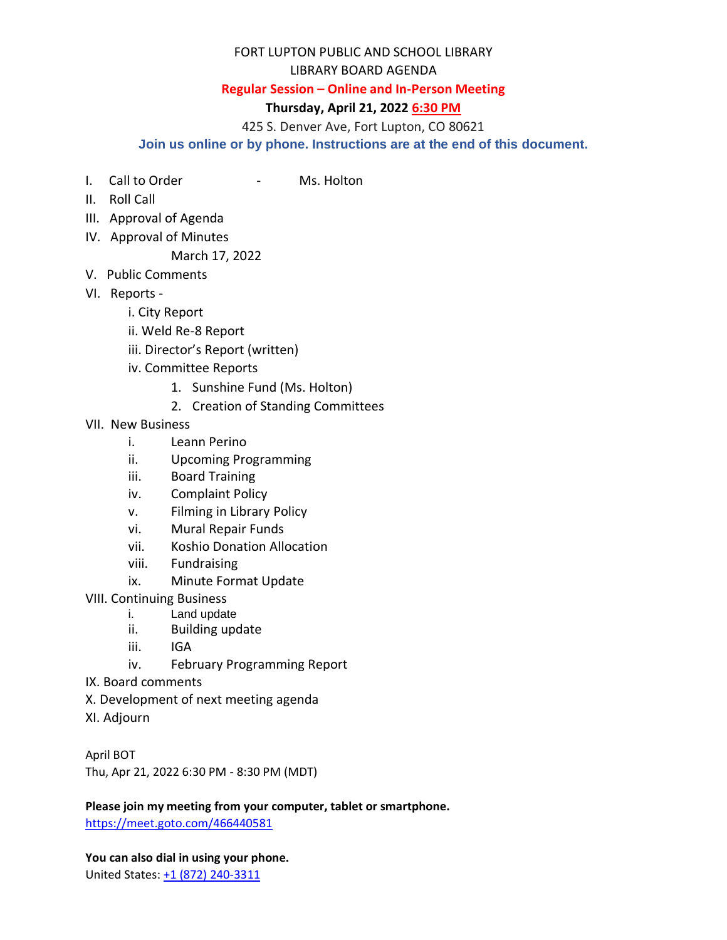## FORT LUPTON PUBLIC AND SCHOOL LIBRARY

## LIBRARY BOARD AGENDA

## **Regular Session – Online and In-Person Meeting**

## **Thursday, April 21, 2022 6:30 PM**

425 S. Denver Ave, Fort Lupton, CO 80621

**Join us online or by phone. Instructions are at the end of this document.**

- I. Call to Order The Call to Order The Call to Order
- II. Roll Call
- III. Approval of Agenda
- IV. Approval of Minutes

March 17, 2022

- V. Public Comments
- VI. Reports
	- i. City Report
	- ii. Weld Re-8 Report
	- iii. Director's Report (written)
	- iv. Committee Reports
		- 1. Sunshine Fund (Ms. Holton)
		- 2. Creation of Standing Committees
- VII. New Business
	- i. Leann Perino
	- ii. Upcoming Programming
	- iii. Board Training
	- iv. Complaint Policy
	- v. Filming in Library Policy
	- vi. Mural Repair Funds
	- vii. Koshio Donation Allocation
	- viii. Fundraising
	- ix. Minute Format Update

VIII. Continuing Business

- i. Land update
- ii. Building update
- iii. IGA
- iv. February Programming Report
- IX. Board comments
- X. Development of next meeting agenda
- XI. Adjourn

April BOT Thu, Apr 21, 2022 6:30 PM - 8:30 PM (MDT)

**Please join my meeting from your computer, tablet or smartphone.** 

<https://meet.goto.com/466440581>

**You can also dial in using your phone.** United States[: +1 \(872\) 240-3311](tel:+18722403311,,466440581)